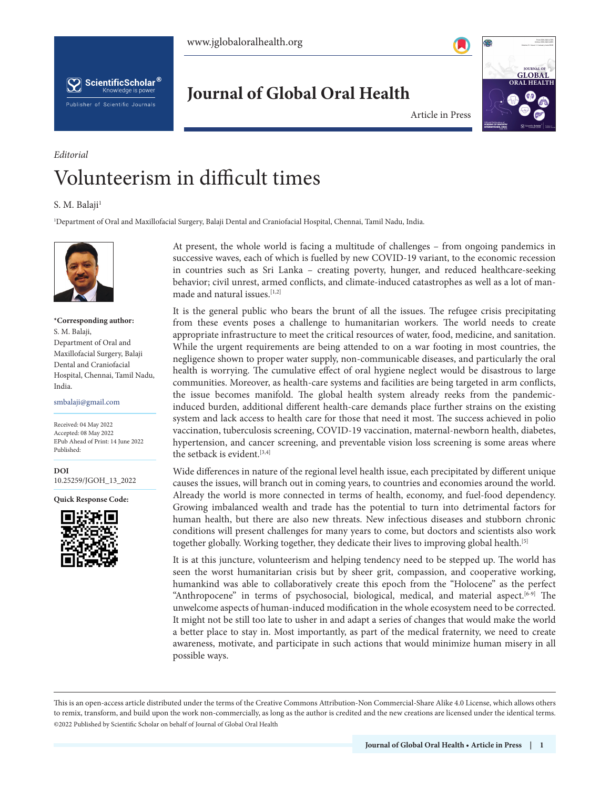**Journal of Global Oral Health**





**Official Publication of the Publication of the Publication of the Publication of the Publication of the Publication of the Publication of the Publication of the Publication of the Publication of the Publication of the Pub** ACCORDING TO DELL' INTERNATIONAL ENERGY Estd. 1974  $GLOBAL$ **ORAL HEALTH**  Volume 3 • Issue 1 • January-June 2020

Article in Press

## Volunteerism in difficult times

## S. M. Balaii<sup>1</sup>

*Editorial*

1 Department of Oral and Maxillofacial Surgery, Balaji Dental and Craniofacial Hospital, Chennai, Tamil Nadu, India.



## **\*Corresponding author:** S. M. Balaji, Department of Oral and Maxillofacial Surgery, Balaji Dental and Craniofacial Hospital, Chennai, Tamil Nadu, India.

smbalaji@gmail.com

Received: 04 May 2022 Accepted: 08 May 2022 EPub Ahead of Print: 14 June 2022 Published:

**DOI** [10.25259/JGOH\\_13\\_2022](https://dx.doi.org/10.25259/JGOH_13_2022)

**Quick Response Code:**



At present, the whole world is facing a multitude of challenges – from ongoing pandemics in successive waves, each of which is fuelled by new COVID-19 variant, to the economic recession in countries such as Sri Lanka – creating poverty, hunger, and reduced healthcare-seeking behavior; civil unrest, armed conflicts, and climate-induced catastrophes as well as a lot of manmade and natural issues.<sup>[1,2]</sup>

It is the general public who bears the brunt of all the issues. The refugee crisis precipitating from these events poses a challenge to humanitarian workers. The world needs to create appropriate infrastructure to meet the critical resources of water, food, medicine, and sanitation. While the urgent requirements are being attended to on a war footing in most countries, the negligence shown to proper water supply, non-communicable diseases, and particularly the oral health is worrying. The cumulative effect of oral hygiene neglect would be disastrous to large communities. Moreover, as health-care systems and facilities are being targeted in arm conflicts, the issue becomes manifold. The global health system already reeks from the pandemicinduced burden, additional different health-care demands place further strains on the existing system and lack access to health care for those that need it most. The success achieved in polio vaccination, tuberculosis screening, COVID-19 vaccination, maternal-newborn health, diabetes, hypertension, and cancer screening, and preventable vision loss screening is some areas where the setback is evident.<sup>[3,4]</sup>

Wide differences in nature of the regional level health issue, each precipitated by different unique causes the issues, will branch out in coming years, to countries and economies around the world. Already the world is more connected in terms of health, economy, and fuel-food dependency. Growing imbalanced wealth and trade has the potential to turn into detrimental factors for human health, but there are also new threats. New infectious diseases and stubborn chronic conditions will present challenges for many years to come, but doctors and scientists also work together globally. Working together, they dedicate their lives to improving global health.<sup>[5]</sup>

It is at this juncture, volunteerism and helping tendency need to be stepped up. The world has seen the worst humanitarian crisis but by sheer grit, compassion, and cooperative working, humankind was able to collaboratively create this epoch from the "Holocene" as the perfect "Anthropocene" in terms of psychosocial, biological, medical, and material aspect.<sup>[6-9]</sup> The unwelcome aspects of human-induced modification in the whole ecosystem need to be corrected. It might not be still too late to usher in and adapt a series of changes that would make the world a better place to stay in. Most importantly, as part of the medical fraternity, we need to create awareness, motivate, and participate in such actions that would minimize human misery in all possible ways.

This is an open-access article distributed under the terms of the Creative Commons Attribution-Non Commercial-Share Alike 4.0 License, which allows others to remix, transform, and build upon the work non-commercially, as long as the author is credited and the new creations are licensed under the identical terms. ©2022 Published by Scientific Scholar on behalf of Journal of Global Oral Health